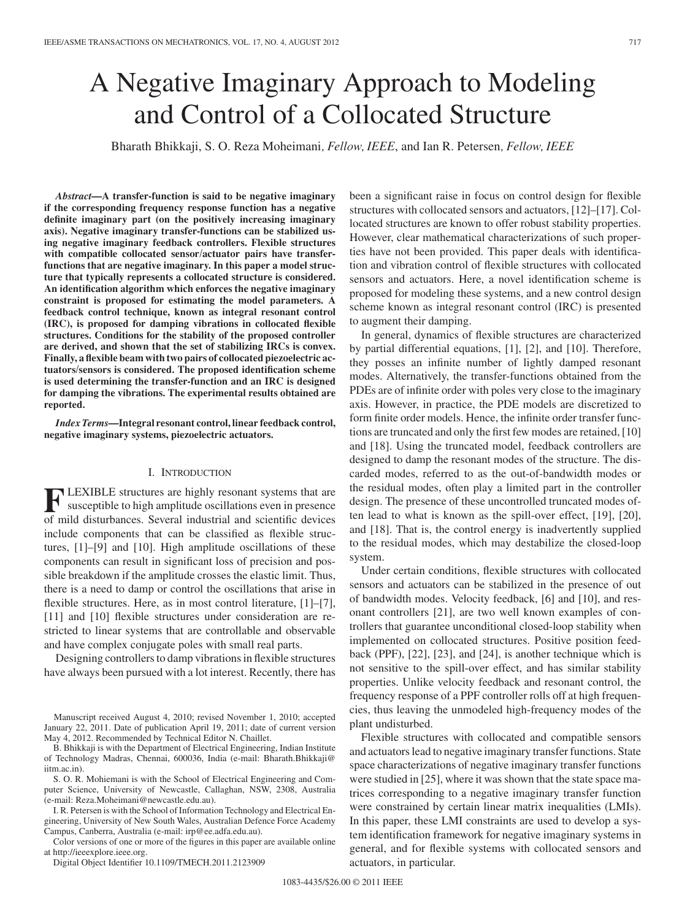# A Negative Imaginary Approach to Modeling and Control of a Collocated Structure

Bharath Bhikkaji, S. O. Reza Moheimani*, Fellow, IEEE*, and Ian R. Petersen*, Fellow, IEEE*

*Abstract***—A transfer-function is said to be negative imaginary if the corresponding frequency response function has a negative definite imaginary part (on the positively increasing imaginary axis). Negative imaginary transfer-functions can be stabilized using negative imaginary feedback controllers. Flexible structures with compatible collocated sensor/actuator pairs have transferfunctions that are negative imaginary. In this paper a model structure that typically represents a collocated structure is considered. An identification algorithm which enforces the negative imaginary constraint is proposed for estimating the model parameters. A feedback control technique, known as integral resonant control (IRC), is proposed for damping vibrations in collocated flexible structures. Conditions for the stability of the proposed controller are derived, and shown that the set of stabilizing IRCs is convex. Finally, a flexible beam with two pairs of collocated piezoelectric actuators/sensors is considered. The proposed identification scheme is used determining the transfer-function and an IRC is designed for damping the vibrations. The experimental results obtained are reported.**

*Index Terms***—Integral resonant control, linear feedback control, negative imaginary systems, piezoelectric actuators.**

### I. INTRODUCTION

**F** LEXIBLE structures are highly resonant systems that are susceptible to high amplitude oscillations even in presence of mild disturbances. Several industrial and scientific devices **LEXIBLE** structures are highly resonant systems that are susceptible to high amplitude oscillations even in presence include components that can be classified as flexible structures, [1]–[9] and [10]. High amplitude oscillations of these components can result in significant loss of precision and possible breakdown if the amplitude crosses the elastic limit. Thus, there is a need to damp or control the oscillations that arise in flexible structures. Here, as in most control literature, [1]–[7], [11] and [10] flexible structures under consideration are restricted to linear systems that are controllable and observable and have complex conjugate poles with small real parts.

Designing controllers to damp vibrations in flexible structures have always been pursued with a lot interest. Recently, there has

S. O. R. Mohiemani is with the School of Electrical Engineering and Computer Science, University of Newcastle, Callaghan, NSW, 2308, Australia (e-mail: Reza.Moheimani@newcastle.edu.au).

I. R. Petersen is with the School of Information Technology and Electrical Engineering, University of New South Wales, Australian Defence Force Academy Campus, Canberra, Australia (e-mail: irp@ee.adfa.edu.au).

Color versions of one or more of the figures in this paper are available online at http://ieeexplore.ieee.org.

Digital Object Identifier 10.1109/TMECH.2011.2123909

been a significant raise in focus on control design for flexible structures with collocated sensors and actuators, [12]–[17]. Collocated structures are known to offer robust stability properties. However, clear mathematical characterizations of such properties have not been provided. This paper deals with identification and vibration control of flexible structures with collocated sensors and actuators. Here, a novel identification scheme is proposed for modeling these systems, and a new control design scheme known as integral resonant control (IRC) is presented to augment their damping.

In general, dynamics of flexible structures are characterized by partial differential equations, [1], [2], and [10]. Therefore, they posses an infinite number of lightly damped resonant modes. Alternatively, the transfer-functions obtained from the PDEs are of infinite order with poles very close to the imaginary axis. However, in practice, the PDE models are discretized to form finite order models. Hence, the infinite order transfer functions are truncated and only the first few modes are retained, [10] and [18]. Using the truncated model, feedback controllers are designed to damp the resonant modes of the structure. The discarded modes, referred to as the out-of-bandwidth modes or the residual modes, often play a limited part in the controller design. The presence of these uncontrolled truncated modes often lead to what is known as the spill-over effect, [19], [20], and [18]. That is, the control energy is inadvertently supplied to the residual modes, which may destabilize the closed-loop system.

Under certain conditions, flexible structures with collocated sensors and actuators can be stabilized in the presence of out of bandwidth modes. Velocity feedback, [6] and [10], and resonant controllers [21], are two well known examples of controllers that guarantee unconditional closed-loop stability when implemented on collocated structures. Positive position feedback (PPF), [22], [23], and [24], is another technique which is not sensitive to the spill-over effect, and has similar stability properties. Unlike velocity feedback and resonant control, the frequency response of a PPF controller rolls off at high frequencies, thus leaving the unmodeled high-frequency modes of the plant undisturbed.

Flexible structures with collocated and compatible sensors and actuators lead to negative imaginary transfer functions. State space characterizations of negative imaginary transfer functions were studied in [25], where it was shown that the state space matrices corresponding to a negative imaginary transfer function were constrained by certain linear matrix inequalities (LMIs). In this paper, these LMI constraints are used to develop a system identification framework for negative imaginary systems in general, and for flexible systems with collocated sensors and actuators, in particular.

Manuscript received August 4, 2010; revised November 1, 2010; accepted January 22, 2011. Date of publication April 19, 2011; date of current version May 4, 2012. Recommended by Technical Editor N. Chaillet.

B. Bhikkaji is with the Department of Electrical Engineering, Indian Institute of Technology Madras, Chennai, 600036, India (e-mail: Bharath.Bhikkaji@ iitm.ac.in).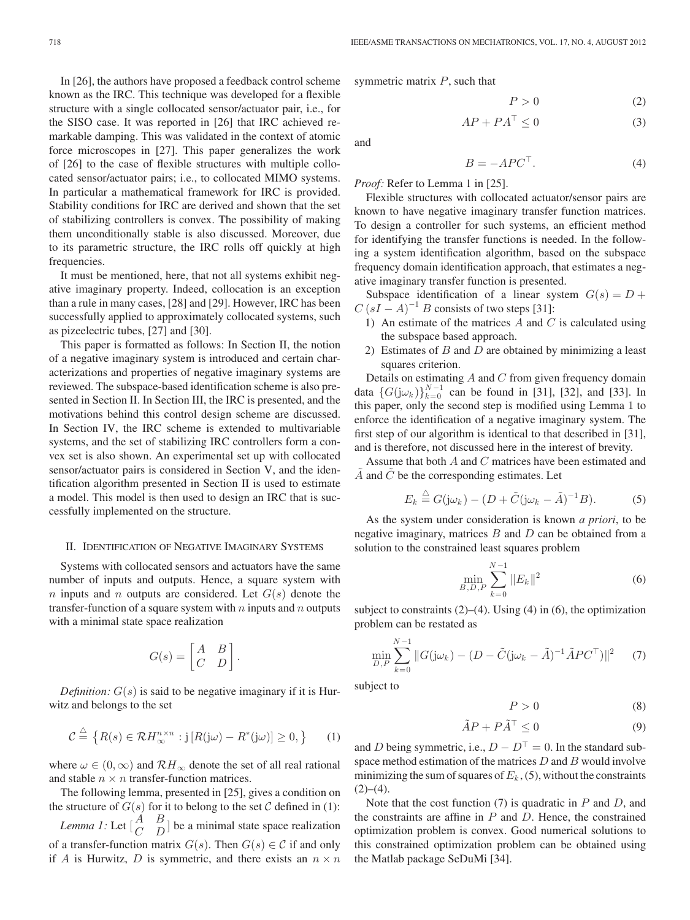In [26], the authors have proposed a feedback control scheme known as the IRC. This technique was developed for a flexible structure with a single collocated sensor/actuator pair, i.e., for the SISO case. It was reported in [26] that IRC achieved remarkable damping. This was validated in the context of atomic force microscopes in [27]. This paper generalizes the work of [26] to the case of flexible structures with multiple collocated sensor/actuator pairs; i.e., to collocated MIMO systems. In particular a mathematical framework for IRC is provided. Stability conditions for IRC are derived and shown that the set of stabilizing controllers is convex. The possibility of making them unconditionally stable is also discussed. Moreover, due to its parametric structure, the IRC rolls off quickly at high frequencies.

It must be mentioned, here, that not all systems exhibit negative imaginary property. Indeed, collocation is an exception than a rule in many cases, [28] and [29]. However, IRC has been successfully applied to approximately collocated systems, such as pizeelectric tubes, [27] and [30].

This paper is formatted as follows: In Section II, the notion of a negative imaginary system is introduced and certain characterizations and properties of negative imaginary systems are reviewed. The subspace-based identification scheme is also presented in Section II. In Section III, the IRC is presented, and the motivations behind this control design scheme are discussed. In Section IV, the IRC scheme is extended to multivariable systems, and the set of stabilizing IRC controllers form a convex set is also shown. An experimental set up with collocated sensor/actuator pairs is considered in Section V, and the identification algorithm presented in Section II is used to estimate a model. This model is then used to design an IRC that is successfully implemented on the structure.

### II. IDENTIFICATION OF NEGATIVE IMAGINARY SYSTEMS

Systems with collocated sensors and actuators have the same number of inputs and outputs. Hence, a square system with n inputs and n outputs are considered. Let  $G(s)$  denote the transfer-function of a square system with  $n$  inputs and  $n$  outputs with a minimal state space realization

$$
G(s) = \begin{bmatrix} A & B \\ C & D \end{bmatrix}.
$$

*Definition:*  $G(s)$  is said to be negative imaginary if it is Hurwitz and belongs to the set

$$
\mathcal{C} \stackrel{\triangle}{=} \left\{ R(s) \in \mathcal{R}H_{\infty}^{n \times n} : j \left[ R(j\omega) - R^*(j\omega) \right] \ge 0, \right\} \qquad (1)
$$

where  $\omega \in (0,\infty)$  and  $\mathcal{R}H_{\infty}$  denote the set of all real rational and stable  $n \times n$  transfer-function matrices.

The following lemma, presented in [25], gives a condition on the structure of  $G(s)$  for it to belong to the set C defined in (1): *Lemma 1:* Let  $\begin{bmatrix} A & B \\ C & D \end{bmatrix}$  be a minimal state space realization of a transfer-function matrix  $G(s)$ . Then  $G(s) \in \mathcal{C}$  if and only if A is Hurwitz, D is symmetric, and there exists an  $n \times n$  symmetric matrix  $P$ , such that

$$
P > 0 \tag{2}
$$

$$
AP + PA^{\top} \le 0 \tag{3}
$$

and

$$
B = -A P C^{\top}.
$$
 (4)

*Proof:* Refer to Lemma 1 in [25].

Flexible structures with collocated actuator/sensor pairs are known to have negative imaginary transfer function matrices. To design a controller for such systems, an efficient method for identifying the transfer functions is needed. In the following a system identification algorithm, based on the subspace frequency domain identification approach, that estimates a negative imaginary transfer function is presented.

Subspace identification of a linear system  $G(s) = D +$  $C (sI - A)^{-1} B$  consists of two steps [31]:

- 1) An estimate of the matrices  $A$  and  $C$  is calculated using the subspace based approach.
- 2) Estimates of  $B$  and  $D$  are obtained by minimizing a least squares criterion.

Details on estimating  $A$  and  $C$  from given frequency domain data  $\{G(j\omega_k)\}_{k=0}^{N-1}$  can be found in [31], [32], and [33]. In this paper, only the second step is modified using Lemma 1 to enforce the identification of a negative imaginary system. The first step of our algorithm is identical to that described in [31], and is therefore, not discussed here in the interest of brevity.

Assume that both A and C matrices have been estimated and  $A$  and  $C$  be the corresponding estimates. Let

$$
E_k \stackrel{\triangle}{=} G(j\omega_k) - (D + \tilde{C}(j\omega_k - \tilde{A})^{-1}B). \tag{5}
$$

As the system under consideration is known *a priori*, to be negative imaginary, matrices  $B$  and  $D$  can be obtained from a solution to the constrained least squares problem

$$
\min_{B,D,P} \sum_{k=0}^{N-1} \|E_k\|^2 \tag{6}
$$

subject to constraints  $(2)$ – $(4)$ . Using  $(4)$  in  $(6)$ , the optimization problem can be restated as

$$
\min_{D,P} \sum_{k=0}^{N-1} \|G(j\omega_k) - (D - \tilde{C}(j\omega_k - \tilde{A})^{-1}\tilde{A}PC^{\top})\|^2 \tag{7}
$$

subject to

$$
P > 0 \tag{8}
$$

$$
\tilde{A}P + P\tilde{A}^{\top} \le 0 \tag{9}
$$

and D being symmetric, i.e.,  $D - D^{T} = 0$ . In the standard subspace method estimation of the matrices  $D$  and  $B$  would involve minimizing the sum of squares of  $E_k$ , (5), without the constraints  $(2)–(4)$ .

Note that the cost function  $(7)$  is quadratic in P and D, and the constraints are affine in  $P$  and  $D$ . Hence, the constrained optimization problem is convex. Good numerical solutions to this constrained optimization problem can be obtained using the Matlab package SeDuMi [34].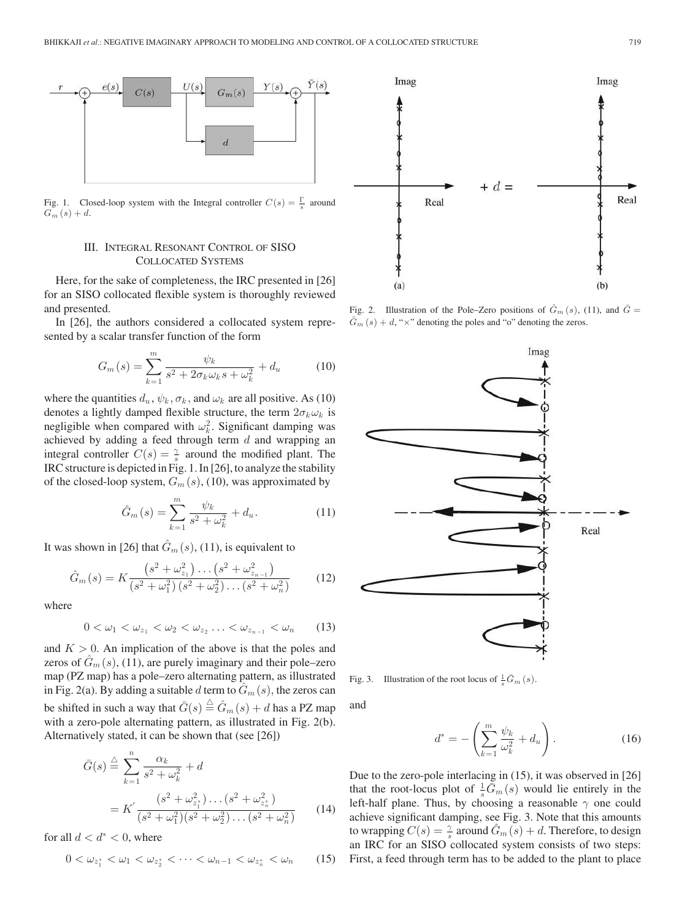

Fig. 1. Closed-loop system with the Integral controller  $C(s) = \frac{\Gamma}{s}$  around  $G_m(s) + d$ .

# III. INTEGRAL RESONANT CONTROL OF SISO COLLOCATED SYSTEMS

Here, for the sake of completeness, the IRC presented in [26] for an SISO collocated flexible system is thoroughly reviewed and presented.

In [26], the authors considered a collocated system represented by a scalar transfer function of the form

$$
G_m(s) = \sum_{k=1}^{m} \frac{\psi_k}{s^2 + 2\sigma_k \omega_k s + \omega_k^2} + d_u
$$
 (10)

where the quantities  $d_u$ ,  $\psi_k$ ,  $\sigma_k$ , and  $\omega_k$  are all positive. As (10) denotes a lightly damped flexible structure, the term  $2\sigma_k \omega_k$  is negligible when compared with  $\omega_k^2$ . Significant damping was achieved by adding a feed through term  $d$  and wrapping an integral controller  $C(s) = \frac{\gamma}{s}$  around the modified plant. The IRC structure is depicted in Fig. 1. In [26], to analyze the stability of the closed-loop system,  $G_m(s)$ , (10), was approximated by

$$
\hat{G}_m(s) = \sum_{k=1}^m \frac{\psi_k}{s^2 + \omega_k^2} + d_u.
$$
 (11)

It was shown in [26] that  $\hat{G}_m(s)$ , (11), is equivalent to

$$
\hat{G}_m(s) = K \frac{\left(s^2 + \omega_{z_1}^2\right) \dots \left(s^2 + \omega_{z_{n-1}}^2\right)}{\left(s^2 + \omega_1^2\right) \left(s^2 + \omega_2^2\right) \dots \left(s^2 + \omega_n^2\right)}\tag{12}
$$

where

$$
0 < \omega_1 < \omega_{z_1} < \omega_2 < \omega_{z_2} \ldots < \omega_{z_{n-1}} < \omega_n \qquad (13)
$$

and  $K > 0$ . An implication of the above is that the poles and zeros of  $G_m(s)$ , (11), are purely imaginary and their pole–zero map (PZ map) has a pole–zero alternating pattern, as illustrated in Fig. 2(a). By adding a suitable d term to  $\hat{G}_m(s)$ , the zeros can be shifted in such a way that  $\bar{G}(s) \stackrel{\triangle}{=} \hat{G}_m(s) + d$  has a PZ map with a zero-pole alternating pattern, as illustrated in Fig. 2(b). Alternatively stated, it can be shown that (see [26])

$$
\bar{G}(s) \stackrel{\triangle}{=} \sum_{k=1}^{n} \frac{\alpha_k}{s^2 + \omega_k^2} + d
$$
\n
$$
= K' \frac{(s^2 + \omega_{z_1}^2) \dots (s^2 + \omega_{z_n}^2)}{(s^2 + \omega_1^2)(s^2 + \omega_2^2) \dots (s^2 + \omega_n^2)} \qquad (14)
$$

for all  $d < d^* < 0$ , where

$$
0 < \omega_{z_1^*} < \omega_1 < \omega_{z_2^*} < \cdots < \omega_{n-1} < \omega_{z_n^*} < \omega_n \qquad (15)
$$



Fig. 2. Illustration of the Pole–Zero positions of  $\hat{G}_m(s)$ , (11), and  $\bar{G}$  =  $\hat{G}_m(s) + d$ , " $\times$ " denoting the poles and "o" denoting the zeros.



Fig. 3. Illustration of the root locus of  $\frac{1}{s}\overline{G}_m(s)$ .

and

$$
d^* = -\left(\sum_{k=1}^m \frac{\psi_k}{\omega_k^2} + d_u\right). \tag{16}
$$

Due to the zero-pole interlacing in (15), it was observed in [26] that the root-locus plot of  $\frac{1}{s}\overline{\tilde{G}}_m(s)$  would lie entirely in the left-half plane. Thus, by choosing a reasonable  $\gamma$  one could achieve significant damping, see Fig. 3. Note that this amounts to wrapping  $C(s) = \frac{\gamma}{s}$  around  $\hat{G}_m(s) + d$ . Therefore, to design an IRC for an SISO collocated system consists of two steps: First, a feed through term has to be added to the plant to place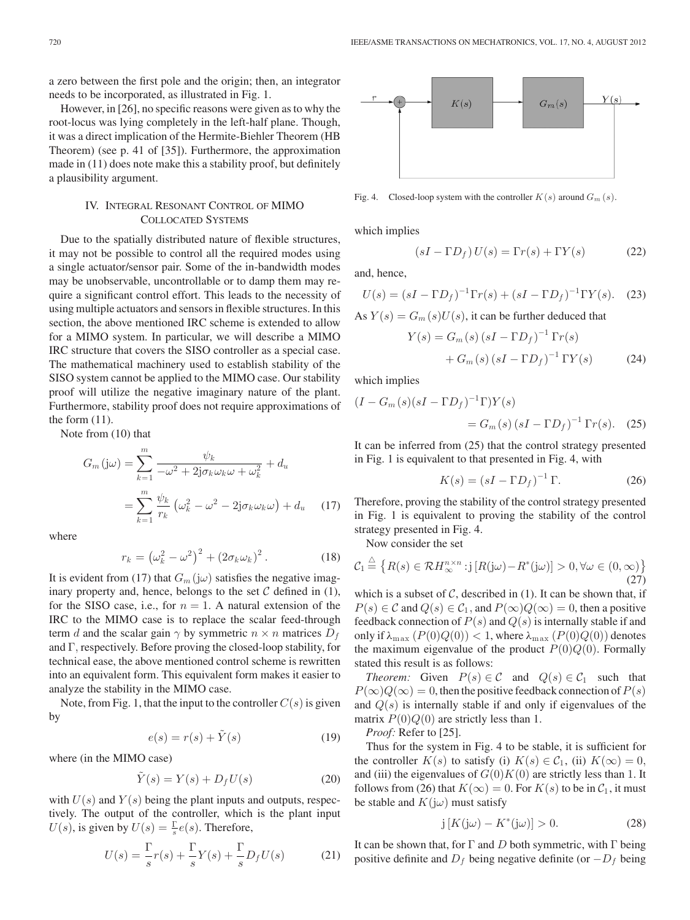a zero between the first pole and the origin; then, an integrator needs to be incorporated, as illustrated in Fig. 1.

However, in [26], no specific reasons were given as to why the root-locus was lying completely in the left-half plane. Though, it was a direct implication of the Hermite-Biehler Theorem (HB Theorem) (see p. 41 of [35]). Furthermore, the approximation made in (11) does note make this a stability proof, but definitely a plausibility argument.

# IV. INTEGRAL RESONANT CONTROL OF MIMO COLLOCATED SYSTEMS

Due to the spatially distributed nature of flexible structures, it may not be possible to control all the required modes using a single actuator/sensor pair. Some of the in-bandwidth modes may be unobservable, uncontrollable or to damp them may require a significant control effort. This leads to the necessity of using multiple actuators and sensors in flexible structures. In this section, the above mentioned IRC scheme is extended to allow for a MIMO system. In particular, we will describe a MIMO IRC structure that covers the SISO controller as a special case. The mathematical machinery used to establish stability of the SISO system cannot be applied to the MIMO case. Our stability proof will utilize the negative imaginary nature of the plant. Furthermore, stability proof does not require approximations of the form  $(11)$ .

Note from (10) that

$$
G_m(j\omega) = \sum_{k=1}^m \frac{\psi_k}{-\omega^2 + 2j\sigma_k\omega_k\omega + \omega_k^2} + d_u
$$

$$
= \sum_{k=1}^m \frac{\psi_k}{r_k} \left(\omega_k^2 - \omega^2 - 2j\sigma_k\omega_k\omega\right) + d_u \quad (17)
$$

where

$$
r_k = \left(\omega_k^2 - \omega^2\right)^2 + \left(2\sigma_k\omega_k\right)^2. \tag{18}
$$

It is evident from (17) that  $G_m(j\omega)$  satisfies the negative imaginary property and, hence, belongs to the set  $C$  defined in (1), for the SISO case, i.e., for  $n = 1$ . A natural extension of the IRC to the MIMO case is to replace the scalar feed-through term d and the scalar gain  $\gamma$  by symmetric  $n \times n$  matrices  $D_f$ and Γ, respectively. Before proving the closed-loop stability, for technical ease, the above mentioned control scheme is rewritten into an equivalent form. This equivalent form makes it easier to analyze the stability in the MIMO case.

Note, from Fig. 1, that the input to the controller  $C(s)$  is given by

$$
e(s) = r(s) + \tilde{Y}(s)
$$
 (19)

where (in the MIMO case)

$$
\tilde{Y}(s) = Y(s) + D_f U(s) \tag{20}
$$

with  $U(s)$  and  $Y(s)$  being the plant inputs and outputs, respectively. The output of the controller, which is the plant input  $U(s)$ , is given by  $U(s) = \frac{\Gamma}{s}e(s)$ . Therefore,

$$
U(s) = \frac{\Gamma}{s}r(s) + \frac{\Gamma}{s}Y(s) + \frac{\Gamma}{s}D_fU(s)
$$
 (21)



Fig. 4. Closed-loop system with the controller  $K(s)$  around  $G_m(s)$ .

which implies

$$
(sI - \Gamma D_f) U(s) = \Gamma r(s) + \Gamma Y(s)
$$
 (22)

and, hence,

$$
U(s) = (sI - \Gamma D_f)^{-1} \Gamma r(s) + (sI - \Gamma D_f)^{-1} \Gamma Y(s).
$$
 (23)

As  $Y(s) = G_m(s)U(s)$ , it can be further deduced that

$$
Y(s) = G_m(s) (sI - \Gamma D_f)^{-1} \Gamma r(s)
$$
  
+ 
$$
G_m(s) (sI - \Gamma D_f)^{-1} \Gamma Y(s)
$$
 (24)

which implies

$$
(I - G_m(s)(sI - \Gamma D_f)^{-1} \Gamma) Y(s)
$$
  
=  $G_m(s) (sI - \Gamma D_f)^{-1} \Gamma r(s)$ . (25)

It can be inferred from (25) that the control strategy presented in Fig. 1 is equivalent to that presented in Fig. 4, with

$$
K(s) = (sI - \Gamma D_f)^{-1} \Gamma.
$$
 (26)

Therefore, proving the stability of the control strategy presented in Fig. 1 is equivalent to proving the stability of the control strategy presented in Fig. 4.

Now consider the set

$$
\mathcal{C}_1 \stackrel{\triangle}{=} \left\{ R(s) \in \mathcal{R}H_{\infty}^{n \times n} : j \left[ R(j\omega) - R^*(j\omega) \right] > 0, \forall \omega \in (0, \infty) \right\}
$$
\n(27)

which is a subset of  $C$ , described in (1). It can be shown that, if  $P(s) \in \mathcal{C}$  and  $Q(s) \in \mathcal{C}_1$ , and  $P(\infty)Q(\infty)=0$ , then a positive feedback connection of  $P(s)$  and  $Q(s)$  is internally stable if and only if  $\lambda_{\text{max}}(P(0)Q(0)) < 1$ , where  $\lambda_{\text{max}}(P(0)Q(0))$  denotes the maximum eigenvalue of the product  $P(0)Q(0)$ . Formally stated this result is as follows:

*Theorem:* Given  $P(s) \in C$  and  $Q(s) \in C_1$  such that  $P(\infty)Q(\infty)=0$ , then the positive feedback connection of  $P(s)$ and  $Q(s)$  is internally stable if and only if eigenvalues of the matrix  $P(0)Q(0)$  are strictly less than 1.

*Proof:* Refer to [25].

Thus for the system in Fig. 4 to be stable, it is sufficient for the controller  $K(s)$  to satisfy (i)  $K(s) \in C_1$ , (ii)  $K(\infty) = 0$ , and (iii) the eigenvalues of  $G(0)K(0)$  are strictly less than 1. It follows from (26) that  $K(\infty)=0$ . For  $K(s)$  to be in  $\mathcal{C}_1$ , it must be stable and  $K(j\omega)$  must satisfy

$$
j\left[K(j\omega) - K^*(j\omega)\right] > 0.
$$
 (28)

It can be shown that, for  $\Gamma$  and D both symmetric, with  $\Gamma$  being positive definite and  $D_f$  being negative definite (or  $-D_f$  being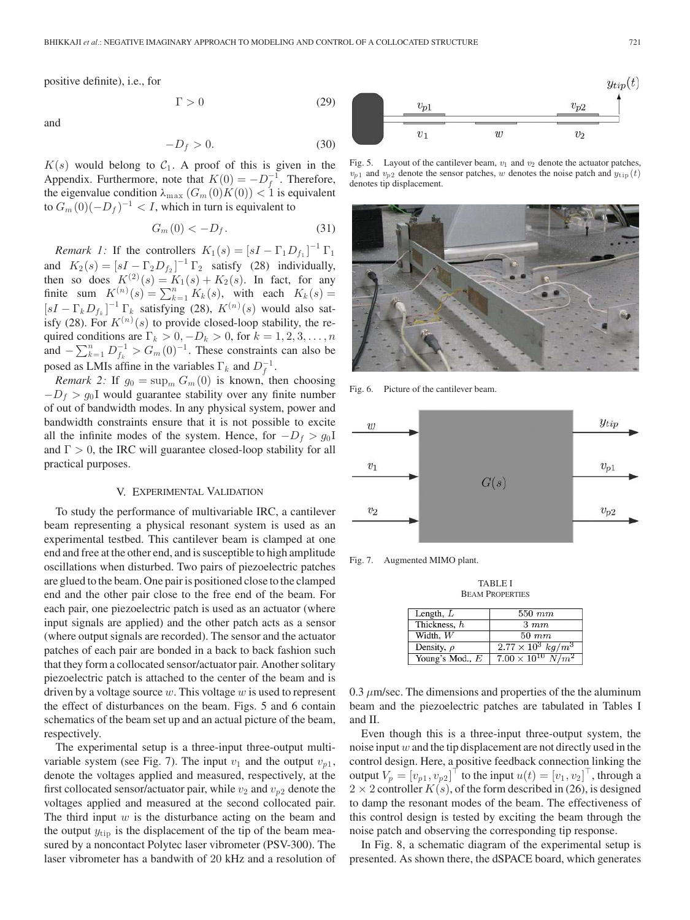positive definite), i.e., for

and

$$
f_{\rm{max}}
$$

 $\Gamma > 0$  (29)

$$
-D_f > 0.\t\t(30)
$$

 $K(s)$  would belong to  $C_1$ . A proof of this is given in the Appendix. Furthermore, note that  $K(0) = -D_f^{-1}$ . Therefore, the eigenvalue condition  $\lambda_{\text{max}}(G_m(0)K(0)) < 1$  is equivalent to  $G_m(0)(-D_f)^{-1} < I$ , which in turn is equivalent to

$$
G_m(0) < -D_f. \tag{31}
$$

*Remark 1:* If the controllers  $K_1(s) = [sI - \Gamma_1 D_{f_1}]^{-1} \Gamma_1$ and  $K_2(s) = [sI - \Gamma_2 D_{f_2}]^{-1} \Gamma_2$  satisfy (28) individually, then so does  $K^{(2)}(s) = K_1(s) + K_2(s)$ . In fact, for any finite sum  $K^{(n)}(s) = \sum_{k=1}^{n} K_k(s)$ , with each  $K_k(s) =$  $[sI - \Gamma_k D_{f_k}]^{-1} \Gamma_k$  satisfying (28),  $K^{(n)}(s)$  would also satisfy (28). For  $K^{(n)}(s)$  to provide closed-loop stability, the required conditions are  $\Gamma_k > 0, -D_k > 0$ , for  $k = 1, 2, 3, \dots, n$ and  $-\sum_{k=1}^{n} D_{f_k}^{-1} > G_m(0)^{-1}$ . These constraints can also be posed as LMIs affine in the variables  $\Gamma_k$  and  $D_f^{-1}$ .

*Remark 2:* If  $g_0 = \sup_m G_m(0)$  is known, then choosing  $-D_f$  >  $g_0$ I would guarantee stability over any finite number of out of bandwidth modes. In any physical system, power and bandwidth constraints ensure that it is not possible to excite all the infinite modes of the system. Hence, for  $-D_f > g_0 I$ and  $\Gamma > 0$ , the IRC will guarantee closed-loop stability for all practical purposes.

## V. EXPERIMENTAL VALIDATION

To study the performance of multivariable IRC, a cantilever beam representing a physical resonant system is used as an experimental testbed. This cantilever beam is clamped at one end and free at the other end, and is susceptible to high amplitude oscillations when disturbed. Two pairs of piezoelectric patches are glued to the beam. One pair is positioned close to the clamped end and the other pair close to the free end of the beam. For each pair, one piezoelectric patch is used as an actuator (where input signals are applied) and the other patch acts as a sensor (where output signals are recorded). The sensor and the actuator patches of each pair are bonded in a back to back fashion such that they form a collocated sensor/actuator pair. Another solitary piezoelectric patch is attached to the center of the beam and is driven by a voltage source  $w$ . This voltage  $w$  is used to represent the effect of disturbances on the beam. Figs. 5 and 6 contain schematics of the beam set up and an actual picture of the beam, respectively.

The experimental setup is a three-input three-output multivariable system (see Fig. 7). The input  $v_1$  and the output  $v_{n1}$ , denote the voltages applied and measured, respectively, at the first collocated sensor/actuator pair, while  $v_2$  and  $v_{p2}$  denote the voltages applied and measured at the second collocated pair. The third input  $w$  is the disturbance acting on the beam and the output  $y_{\text{tip}}$  is the displacement of the tip of the beam measured by a noncontact Polytec laser vibrometer (PSV-300). The laser vibrometer has a bandwith of 20 kHz and a resolution of



Fig. 5. Layout of the cantilever beam,  $v_1$  and  $v_2$  denote the actuator patches,  $v_{p1}$  and  $v_{p2}$  denote the sensor patches, w denotes the noise patch and  $y_{\text{tip}}(t)$ denotes tip displacement.



Fig. 6. Picture of the cantilever beam.



Fig. 7. Augmented MIMO plant.

TABLE I BEAM PROPERTIES

| Length, $L$     | $550\;mm$                     |
|-----------------|-------------------------------|
| Thickness, h    | $3 \;mm$                      |
| Width. $W$      | $50 \; mm$                    |
| Density, $\rho$ | $2.77 \times 10^3 \ kg/m^3$   |
| Young's Mod., E | $7.00 \times 10^{10} \ N/m^2$ |

0.3  $\mu$ m/sec. The dimensions and properties of the the aluminum beam and the piezoelectric patches are tabulated in Tables I and II.

Even though this is a three-input three-output system, the noise input  $w$  and the tip displacement are not directly used in the control design. Here, a positive feedback connection linking the output  $V_p = [v_{p1}, v_{p2}]^\top$  to the input  $u(t) = [v_1, v_2]^\top$ , through a  $2 \times 2$  controller  $K(s)$ , of the form described in (26), is designed to damp the resonant modes of the beam. The effectiveness of this control design is tested by exciting the beam through the noise patch and observing the corresponding tip response.

In Fig. 8, a schematic diagram of the experimental setup is presented. As shown there, the dSPACE board, which generates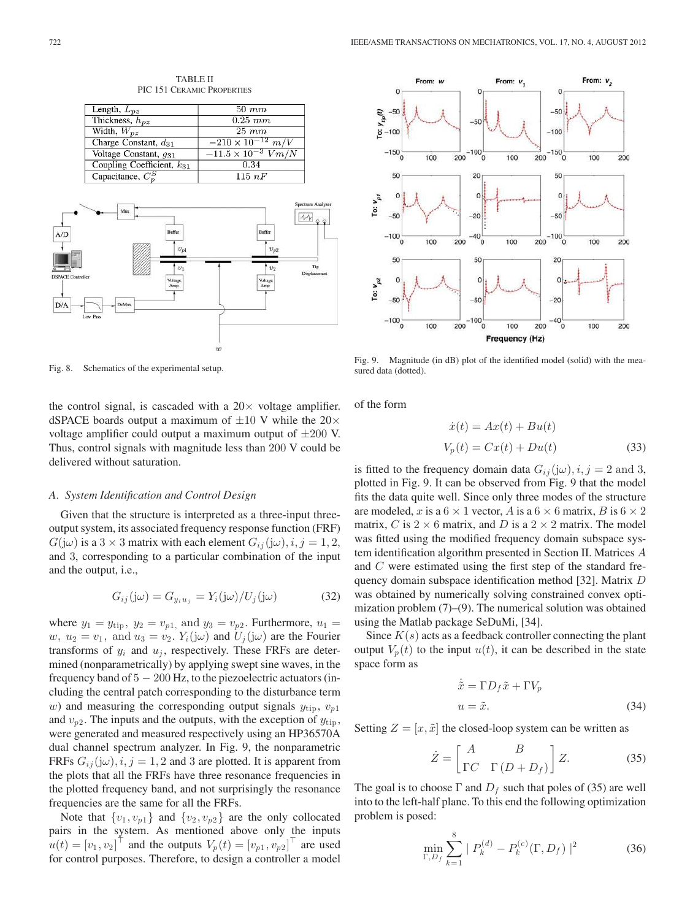

TABLE II PIC 151 CERAMIC PROPERTIES

Fig. 8. Schematics of the experimental setup.

the control signal, is cascaded with a  $20 \times$  voltage amplifier. dSPACE boards output a maximum of  $\pm 10$  V while the 20 $\times$ voltage amplifier could output a maximum output of  $\pm 200$  V. Thus, control signals with magnitude less than 200 V could be delivered without saturation.

#### *A. System Identification and Control Design*

Given that the structure is interpreted as a three-input threeoutput system, its associated frequency response function (FRF)  $G(j\omega)$  is a 3 × 3 matrix with each element  $G_{ij}(j\omega), i, j = 1, 2$ , and 3, corresponding to a particular combination of the input and the output, i.e.,

$$
G_{ij}(j\omega) = G_{y_i u_j} = Y_i(j\omega) / U_j(j\omega)
$$
 (32)

where  $y_1 = y_{\text{tip}}$ ,  $y_2 = v_{p1}$ , and  $y_3 = v_{p2}$ . Furthermore,  $u_1 =$ w,  $u_2 = v_1$ , and  $u_3 = v_2$ .  $Y_i(j\omega)$  and  $U_j(j\omega)$  are the Fourier transforms of  $y_i$  and  $u_j$ , respectively. These FRFs are determined (nonparametrically) by applying swept sine waves, in the frequency band of  $5 - 200$  Hz, to the piezoelectric actuators (including the central patch corresponding to the disturbance term w) and measuring the corresponding output signals  $y_{\text{tip}}$ ,  $v_{p1}$ and  $v_{p2}$ . The inputs and the outputs, with the exception of  $y_{\text{tip}}$ , were generated and measured respectively using an HP36570A dual channel spectrum analyzer. In Fig. 9, the nonparametric FRFs  $G_{ij}(\mathbf{j}\omega), i, j = 1, 2$  and 3 are plotted. It is apparent from the plots that all the FRFs have three resonance frequencies in the plotted frequency band, and not surprisingly the resonance frequencies are the same for all the FRFs.

Note that  $\{v_1, v_{p1}\}\$  and  $\{v_2, v_{p2}\}\$  are the only collocated pairs in the system. As mentioned above only the inputs  $u(t) = [v_1, v_2]^\top$  and the outputs  $V_p(t) = [v_{p1} , v_{p2}]^\top$  are used for control purposes. Therefore, to design a controller a model



Fig. 9. Magnitude (in dB) plot of the identified model (solid) with the measured data (dotted).

of the form

$$
\dot{x}(t) = Ax(t) + Bu(t)
$$
  
\n
$$
V_p(t) = Cx(t) + Du(t)
$$
\n(33)

is fitted to the frequency domain data  $G_{ij}(\mathbf{j}\omega), i, j = 2 \text{ and } 3$ , plotted in Fig. 9. It can be observed from Fig. 9 that the model fits the data quite well. Since only three modes of the structure are modeled, x is a  $6 \times 1$  vector, A is a  $6 \times 6$  matrix, B is  $6 \times 2$ matrix, C is  $2 \times 6$  matrix, and D is a  $2 \times 2$  matrix. The model was fitted using the modified frequency domain subspace system identification algorithm presented in Section II. Matrices A and C were estimated using the first step of the standard frequency domain subspace identification method [32]. Matrix D was obtained by numerically solving constrained convex optimization problem (7)–(9). The numerical solution was obtained using the Matlab package SeDuMi, [34].

Since  $K(s)$  acts as a feedback controller connecting the plant output  $V_p(t)$  to the input  $u(t)$ , it can be described in the state space form as

$$
\begin{aligned}\n\dot{\tilde{x}} &= \Gamma D_f \tilde{x} + \Gamma V_p \\
u &= \tilde{x}.\n\end{aligned} \tag{34}
$$

Setting  $Z = [x, \tilde{x}]$  the closed-loop system can be written as

$$
\dot{Z} = \begin{bmatrix} A & B \\ \Gamma C & \Gamma \left( D + D_f \right) \end{bmatrix} Z. \tag{35}
$$

The goal is to choose  $\Gamma$  and  $D_f$  such that poles of (35) are well into to the left-half plane. To this end the following optimization problem is posed:

$$
\min_{\Gamma, D_f} \sum_{k=1}^{8} | P_k^{(d)} - P_k^{(c)}(\Gamma, D_f) |^2
$$
 (36)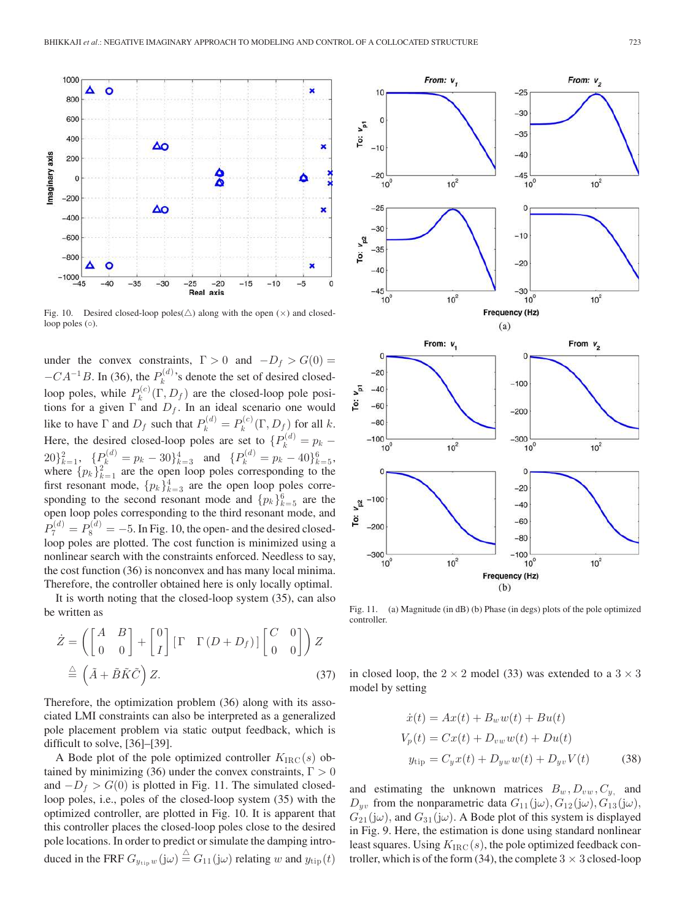

Fig. 10. Desired closed-loop poles( $\triangle$ ) along with the open ( $\times$ ) and closedloop poles (◦).

under the convex constraints,  $\Gamma > 0$  and  $-D_f > G(0) =$  $-CA^{-1}B$ . In (36), the  $P_k^{(d)}$  $k^{(a)}$ 's denote the set of desired closedloop poles, while  $P_k^{(c)}$  $\chi_k^{(c)}(\Gamma, D_f)$  are the closed-loop pole positions for a given  $\Gamma$  and  $D_f$ . In an ideal scenario one would like to have  $\Gamma$  and  $D_f$  such that  $P_k^{(d)} = P_k^{(c)}(\Gamma, D_f)$  for all k. k Here, the desired closed-loop poles are set to  $\{P_k^{(d)} = p_k 20\}_{k=1}^2$ ,  $\{P_k^{(d)} = p_k - 30\}_{k=3}^4$  and  $\{P_k^{(d)} = p_k - 40\}_{k=5}^6$ , where  $\{p_k\}_{k=1}^2$  are the open loop poles corresponding to the first resonant mode,  $\{p_k\}_{k=3}^4$  are the open loop poles corresponding to the second resonant mode and  $\{p_k\}_{k=5}^6$  are the open loop poles corresponding to the third resonant mode, and  $P_7^{(d)} = P_8^{(d)} = -5$ . In Fig. 10, the open- and the desired closedloop poles are plotted. The cost function is minimized using a nonlinear search with the constraints enforced. Needless to say, the cost function (36) is nonconvex and has many local minima. Therefore, the controller obtained here is only locally optimal.

It is worth noting that the closed-loop system (35), can also be written as

$$
\dot{Z} = \left( \begin{bmatrix} A & B \\ 0 & 0 \end{bmatrix} + \begin{bmatrix} 0 \\ I \end{bmatrix} \begin{bmatrix} \Gamma & \Gamma(D + D_f) \end{bmatrix} \begin{bmatrix} C & 0 \\ 0 & 0 \end{bmatrix} \right) Z
$$

$$
\stackrel{\triangle}{=} \left( \tilde{A} + \tilde{B}\tilde{K}\tilde{C} \right) Z. \tag{37}
$$

Therefore, the optimization problem (36) along with its associated LMI constraints can also be interpreted as a generalized pole placement problem via static output feedback, which is difficult to solve, [36]–[39].

A Bode plot of the pole optimized controller  $K_{\text{IRC}}(s)$  obtained by minimizing (36) under the convex constraints,  $\Gamma > 0$ and  $-D_f > G(0)$  is plotted in Fig. 11. The simulated closedloop poles, i.e., poles of the closed-loop system (35) with the optimized controller, are plotted in Fig. 10. It is apparent that this controller places the closed-loop poles close to the desired pole locations. In order to predict or simulate the damping introduced in the FRF  $G_{y_{\text{tip}}}^{\perp}w(j\omega) \stackrel{\triangle}{=} G_{11}(j\omega)$  relating w and  $y_{\text{tip}}^{\perp}(t)$ 



Fig. 11. (a) Magnitude (in dB) (b) Phase (in degs) plots of the pole optimized controller.

in closed loop, the  $2 \times 2$  model (33) was extended to a  $3 \times 3$ model by setting

$$
\dot{x}(t) = Ax(t) + B_w w(t) + Bu(t)
$$
  
\n
$$
V_p(t) = Cx(t) + D_{vw} w(t) + Du(t)
$$
  
\n
$$
y_{\text{tip}} = C_y x(t) + D_{yw} w(t) + D_{yv} V(t)
$$
\n(38)

and estimating the unknown matrices  $B_w$ ,  $D_{vw}$ ,  $C_y$ , and  $D_{yv}$  from the nonparametric data  $G_{11}(j\omega)$ ,  $G_{12}(j\omega)$ ,  $G_{13}(j\omega)$ ,  $G_{21}(j\omega)$ , and  $G_{31}(j\omega)$ . A Bode plot of this system is displayed in Fig. 9. Here, the estimation is done using standard nonlinear least squares. Using  $K_{\text{IRC}}(s)$ , the pole optimized feedback controller, which is of the form (34), the complete  $3 \times 3$  closed-loop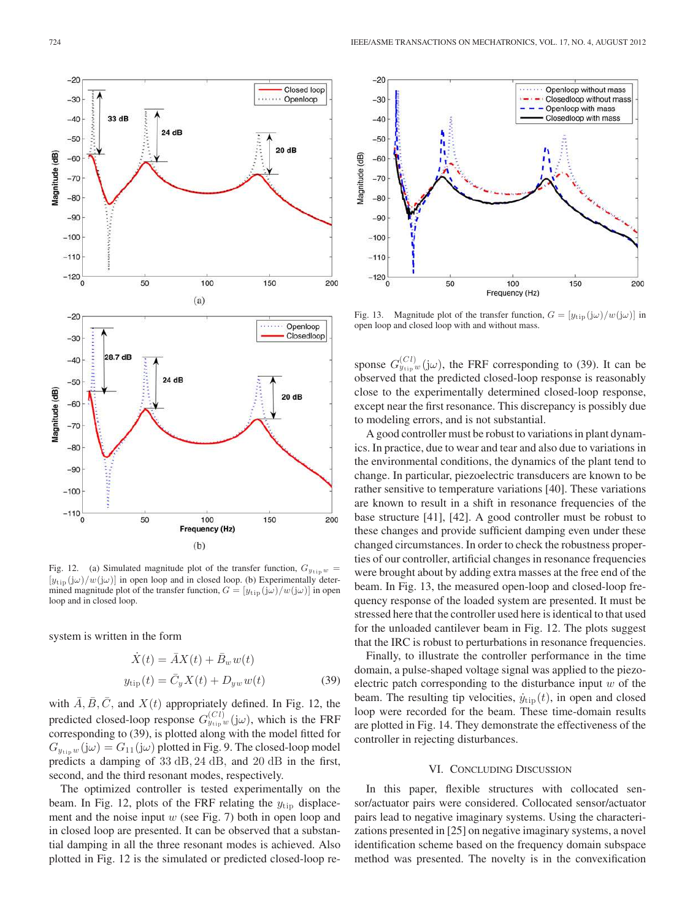

Fig. 12. (a) Simulated magnitude plot of the transfer function,  $G_{y_{\text{tip}}}$  w =  $[y_{\text{tip}}(j\omega)/w(j\omega)]$  in open loop and in closed loop. (b) Experimentally determined magnitude plot of the transfer function,  $G = [y_{\text{tip}}(j\omega)/w(j\omega)]$  in open loop and in closed loop.

system is written in the form

$$
\dot{X}(t) = \bar{A}X(t) + \bar{B}_w w(t)
$$
  
\n
$$
y_{\text{tip}}(t) = \bar{C}_y X(t) + D_{yw} w(t)
$$
\n(39)

with  $\overline{A}, \overline{B}, \overline{C}$ , and  $X(t)$  appropriately defined. In Fig. 12, the predicted closed-loop response  $G_{y_{\text{tip}}}^{(Cl)}(\mathcal{Y})$ , which is the FRF corresponding to (39), is plotted along with the model fitted for  $G_{y_{\text{tip}}}(\mathbf{j}\omega) = G_{11}(\mathbf{j}\omega)$  plotted in Fig. 9. The closed-loop model predicts a damping of 33 dB, 24 dB, and 20 dB in the first, second, and the third resonant modes, respectively.

The optimized controller is tested experimentally on the beam. In Fig. 12, plots of the FRF relating the  $y_{\text{tip}}$  displacement and the noise input  $w$  (see Fig. 7) both in open loop and in closed loop are presented. It can be observed that a substantial damping in all the three resonant modes is achieved. Also plotted in Fig. 12 is the simulated or predicted closed-loop re-



Fig. 13. Magnitude plot of the transfer function,  $G = [y_{\text{tip}}(j\omega)/w(j\omega)]$  in open loop and closed loop with and without mass.

sponse  $G_{y_{\text{tip}}}^{(Cl)}(\mathbf{j}\omega)$ , the FRF corresponding to (39). It can be observed that the predicted closed-loop response is reasonably close to the experimentally determined closed-loop response, except near the first resonance. This discrepancy is possibly due to modeling errors, and is not substantial.

A good controller must be robust to variations in plant dynamics. In practice, due to wear and tear and also due to variations in the environmental conditions, the dynamics of the plant tend to change. In particular, piezoelectric transducers are known to be rather sensitive to temperature variations [40]. These variations are known to result in a shift in resonance frequencies of the base structure [41], [42]. A good controller must be robust to these changes and provide sufficient damping even under these changed circumstances. In order to check the robustness properties of our controller, artificial changes in resonance frequencies were brought about by adding extra masses at the free end of the beam. In Fig. 13, the measured open-loop and closed-loop frequency response of the loaded system are presented. It must be stressed here that the controller used here is identical to that used for the unloaded cantilever beam in Fig. 12. The plots suggest that the IRC is robust to perturbations in resonance frequencies.

Finally, to illustrate the controller performance in the time domain, a pulse-shaped voltage signal was applied to the piezoelectric patch corresponding to the disturbance input  $w$  of the beam. The resulting tip velocities,  $\dot{y}_{\text{tip}}(t)$ , in open and closed loop were recorded for the beam. These time-domain results are plotted in Fig. 14. They demonstrate the effectiveness of the controller in rejecting disturbances.

## VI. CONCLUDING DISCUSSION

In this paper, flexible structures with collocated sensor/actuator pairs were considered. Collocated sensor/actuator pairs lead to negative imaginary systems. Using the characterizations presented in [25] on negative imaginary systems, a novel identification scheme based on the frequency domain subspace method was presented. The novelty is in the convexification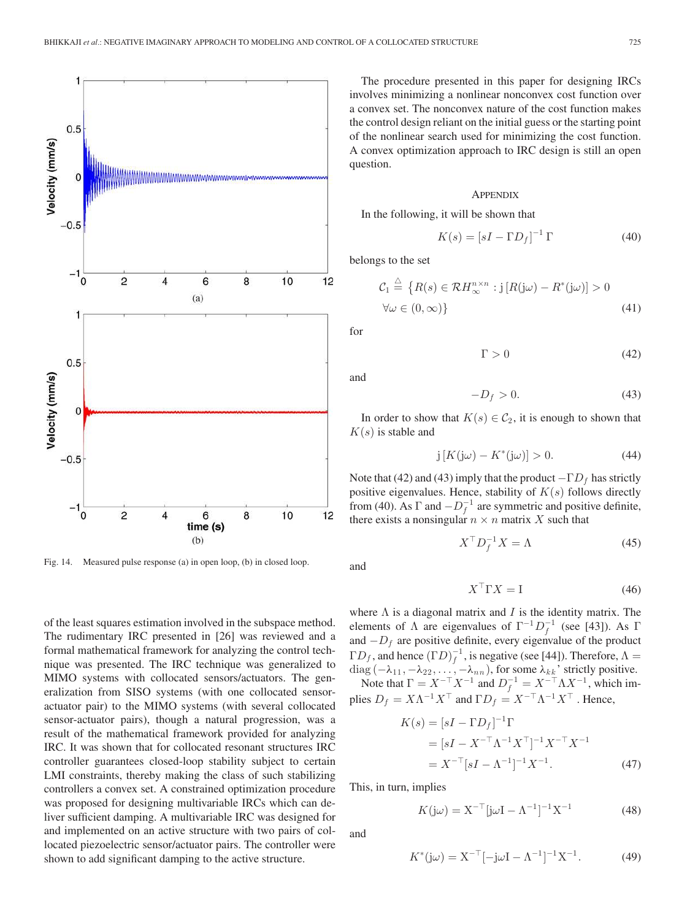

Fig. 14. Measured pulse response (a) in open loop, (b) in closed loop.

of the least squares estimation involved in the subspace method. The rudimentary IRC presented in [26] was reviewed and a formal mathematical framework for analyzing the control technique was presented. The IRC technique was generalized to MIMO systems with collocated sensors/actuators. The generalization from SISO systems (with one collocated sensoractuator pair) to the MIMO systems (with several collocated sensor-actuator pairs), though a natural progression, was a result of the mathematical framework provided for analyzing IRC. It was shown that for collocated resonant structures IRC controller guarantees closed-loop stability subject to certain LMI constraints, thereby making the class of such stabilizing controllers a convex set. A constrained optimization procedure was proposed for designing multivariable IRCs which can deliver sufficient damping. A multivariable IRC was designed for and implemented on an active structure with two pairs of collocated piezoelectric sensor/actuator pairs. The controller were shown to add significant damping to the active structure.

The procedure presented in this paper for designing IRCs involves minimizing a nonlinear nonconvex cost function over a convex set. The nonconvex nature of the cost function makes the control design reliant on the initial guess or the starting point of the nonlinear search used for minimizing the cost function. A convex optimization approach to IRC design is still an open question.

#### **APPENDIX**

In the following, it will be shown that

$$
K(s) = [sI - \Gamma D_f]^{-1} \Gamma
$$
 (40)

belongs to the set

$$
C_1 \stackrel{\triangle}{=} \{ R(s) \in \mathcal{R}H_{\infty}^{n \times n} : j [R(j\omega) - R^*(j\omega)] > 0
$$
  

$$
\forall \omega \in (0, \infty) \}
$$
 (41)

for

$$
\Gamma > 0 \tag{42}
$$

and

$$
-D_f > 0.\t\t(43)
$$

In order to show that  $K(s) \in C_2$ , it is enough to shown that  $K(s)$  is stable and

$$
j\left[K(j\omega) - K^*(j\omega)\right] > 0. \tag{44}
$$

Note that (42) and (43) imply that the product  $-\Gamma D_f$  has strictly positive eigenvalues. Hence, stability of  $K(s)$  follows directly from (40). As  $\Gamma$  and  $-D_f^{-1}$  are symmetric and positive definite, there exists a nonsingular  $n \times n$  matrix X such that

$$
X^{\top} D_f^{-1} X = \Lambda \tag{45}
$$

and

$$
X^{\top} \Gamma X = I \tag{46}
$$

where  $\Lambda$  is a diagonal matrix and I is the identity matrix. The elements of  $\Lambda$  are eigenvalues of  $\Gamma^{-1}D_f^{-1}$  (see [43]). As  $\Gamma$ and  $-D_f$  are positive definite, every eigenvalue of the product  $\Gamma D_f$ , and hence  $(\Gamma D)^{-1}_f$ , is negative (see [44]). Therefore,  $\Lambda =$  $diag(-\lambda_{11}, -\lambda_{22}, \ldots, -\lambda_{nn})$ , for some  $\lambda_{kk}$ ' strictly positive.

Note that  $\Gamma = X^{-\top} X^{-1}$  and  $D_f^{-1} = X^{-\top} \Lambda X^{-1}$ , which implies  $D_f = X\Lambda^{-1}X^{\top}$  and  $\Gamma D_f = X^{-\top}\Lambda^{-1}X^{\top}$  . Hence,

$$
K(s) = [sI - \Gamma D_f]^{-1} \Gamma
$$
  
=  $[sI - X^{-\top} \Lambda^{-1} X^{\top}]^{-1} X^{-\top} X^{-1}$   
=  $X^{-\top} [sI - \Lambda^{-1}]^{-1} X^{-1}$ . (47)

This, in turn, implies

$$
K(j\omega) = X^{-\top} [j\omega I - \Lambda^{-1}]^{-1} X^{-1}
$$
 (48)

and

$$
K^*(j\omega) = X^{-\top}[-j\omega I - \Lambda^{-1}]^{-1}X^{-1}.
$$
 (49)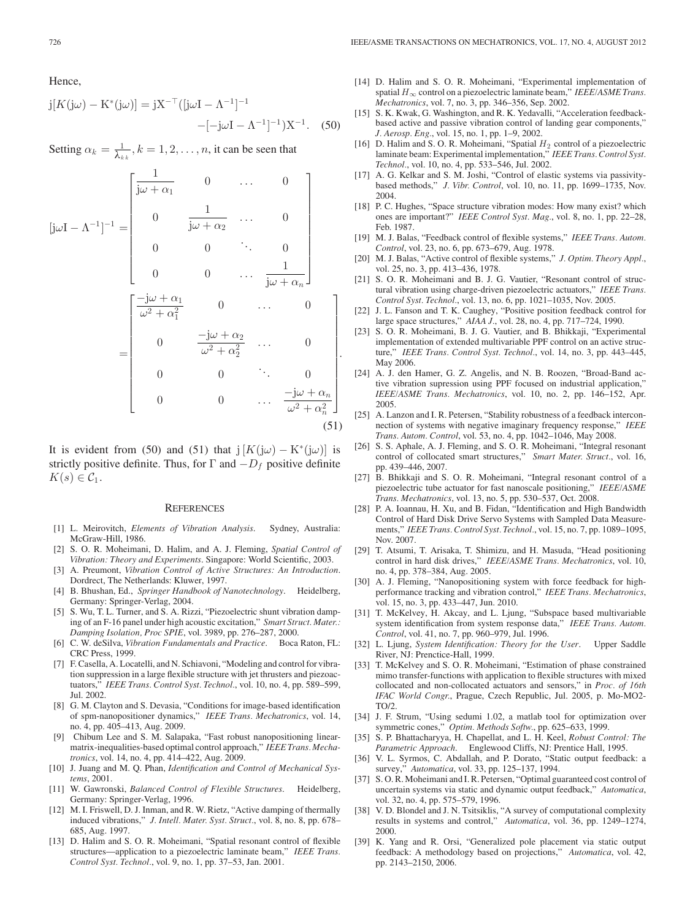Hence,

$$
j[K(j\omega) - K^*(j\omega)] = jX^{-\top}([j\omega I - \Lambda^{-1}]^{-1} - [-j\omega I - \Lambda^{-1}]^{-1})X^{-1}.
$$
 (50)

Setting  $\alpha_k = \frac{1}{\lambda_{kk}}, k = 1, 2, \dots, n$ , it can be seen that

$$
[j\omega I - \Lambda^{-1}]^{-1} = \begin{bmatrix} \frac{1}{j\omega + \alpha_1} & 0 & \cdots & 0 \\ 0 & \frac{1}{j\omega + \alpha_2} & \cdots & 0 \\ 0 & 0 & \ddots & 0 \\ 0 & 0 & \cdots & \frac{1}{j\omega + \alpha_n} \end{bmatrix}
$$

$$
= \begin{bmatrix} \frac{-j\omega + \alpha_1}{\omega^2 + \alpha_1^2} & 0 & \cdots & 0 \\ 0 & \frac{-j\omega + \alpha_2}{\omega^2 + \alpha_2^2} & \cdots & 0 \\ 0 & 0 & \ddots & 0 \\ 0 & 0 & \cdots & \frac{-j\omega + \alpha_n}{\omega^2 + \alpha_n^2} \end{bmatrix} .
$$
(51)

.

It is evident from (50) and (51) that  $j[K(j\omega) - K^*(j\omega)]$  is strictly positive definite. Thus, for  $\Gamma$  and  $-D_f$  positive definite  $K(s) \in \mathcal{C}_1$ .

#### **REFERENCES**

- [1] L. Meirovitch, *Elements of Vibration Analysis*. Sydney, Australia: McGraw-Hill, 1986.
- [2] S. O. R. Moheimani, D. Halim, and A. J. Fleming, *Spatial Control of Vibration: Theory and Experiments*. Singapore: World Scientific, 2003.
- [3] A. Preumont, *Vibration Control of Active Structures: An Introduction*. Dordrect, The Netherlands: Kluwer, 1997.
- [4] B. Bhushan, Ed., *Springer Handbook of Nanotechnology*. Heidelberg, Germany: Springer-Verlag, 2004.
- [5] S. Wu, T. L. Turner, and S. A. Rizzi, "Piezoelectric shunt vibration damping of an F-16 panel under high acoustic excitation," *Smart Struct. Mater.: Damping Isolation, Proc SPIE*, vol. 3989, pp. 276–287, 2000.
- [6] C. W. deSilva, *Vibration Fundamentals and Practice*. Boca Raton, FL: CRC Press, 1999.
- [7] F. Casella, A. Locatelli, and N. Schiavoni, "Modeling and control for vibration suppression in a large flexible structure with jet thrusters and piezoactuators," *IEEE Trans. Control Syst. Technol.*, vol. 10, no. 4, pp. 589–599, Jul. 2002.
- [8] G. M. Clayton and S. Devasia, "Conditions for image-based identification of spm-nanopositioner dynamics," *IEEE Trans. Mechatronics*, vol. 14, no. 4, pp. 405–413, Aug. 2009.
- [9] Chibum Lee and S. M. Salapaka, "Fast robust nanopositioning linearmatrix-inequalities-based optimal control approach," *IEEE Trans. Mechatronics*, vol. 14, no. 4, pp. 414–422, Aug. 2009.
- [10] J. Juang and M. Q. Phan, *Identification and Control of Mechanical Systems*, 2001.
- [11] W. Gawronski, *Balanced Control of Flexible Structures*. Heidelberg, Germany: Springer-Verlag, 1996.
- [12] M. I. Friswell, D. J. Inman, and R. W. Rietz, "Active damping of thermally induced vibrations," *J. Intell. Mater. Syst. Struct.*, vol. 8, no. 8, pp. 678– 685, Aug. 1997.
- [13] D. Halim and S. O. R. Moheimani, "Spatial resonant control of flexible structures—application to a piezoelectric laminate beam," *IEEE Trans. Control Syst. Technol.*, vol. 9, no. 1, pp. 37–53, Jan. 2001.
- [14] D. Halim and S. O. R. Moheimani, "Experimental implementation of spatial  $H_{\infty}$  control on a piezoelectric laminate beam," *IEEE/ASME Trans. Mechatronics*, vol. 7, no. 3, pp. 346–356, Sep. 2002.
- [15] S. K. Kwak, G. Washington, and R. K. Yedavalli, "Acceleration feedbackbased active and passive vibration control of landing gear components," *J. Aerosp. Eng.*, vol. 15, no. 1, pp. 1–9, 2002.
- [16] D. Halim and S. O. R. Moheimani, "Spatial  $H_2$  control of a piezoelectric laminate beam: Experimental implementation," *IEEE Trans. Control Syst. Technol.*, vol. 10, no. 4, pp. 533–546, Jul. 2002.
- [17] A. G. Kelkar and S. M. Joshi, "Control of elastic systems via passivitybased methods," *J. Vibr. Control*, vol. 10, no. 11, pp. 1699–1735, Nov. 2004.
- [18] P. C. Hughes, "Space structure vibration modes: How many exist? which ones are important?" *IEEE Control Syst. Mag.*, vol. 8, no. 1, pp. 22–28, Feb. 1987.
- [19] M. J. Balas, "Feedback control of flexible systems," *IEEE Trans. Autom. Control*, vol. 23, no. 6, pp. 673–679, Aug. 1978.
- [20] M. J. Balas, "Active control of flexible systems," *J. Optim. Theory Appl.*, vol. 25, no. 3, pp. 413–436, 1978.
- [21] S. O. R. Moheimani and B. J. G. Vautier, "Resonant control of structural vibration using charge-driven piezoelectric actuators," *IEEE Trans. Control Syst. Technol.*, vol. 13, no. 6, pp. 1021–1035, Nov. 2005.
- [22] J. L. Fanson and T. K. Caughey, "Positive position feedback control for large space structures," *AIAA J.*, vol. 28, no. 4, pp. 717–724, 1990.
- [23] S. O. R. Moheimani, B. J. G. Vautier, and B. Bhikkaji, "Experimental implementation of extended multivariable PPF control on an active structure," *IEEE Trans. Control Syst. Technol.*, vol. 14, no. 3, pp. 443–445, May 2006.
- [24] A. J. den Hamer, G. Z. Angelis, and N. B. Roozen, "Broad-Band active vibration supression using PPF focused on industrial application," *IEEE/ASME Trans. Mechatronics*, vol. 10, no. 2, pp. 146–152, Apr. 2005.
- [25] A. Lanzon and I. R. Petersen, "Stability robustness of a feedback interconnection of systems with negative imaginary frequency response," *IEEE Trans. Autom. Control*, vol. 53, no. 4, pp. 1042–1046, May 2008.
- [26] S. S. Aphale, A. J. Fleming, and S. O. R. Moheimani, "Integral resonant control of collocated smart structures," *Smart Mater. Struct.*, vol. 16, pp. 439–446, 2007.
- [27] B. Bhikkaji and S. O. R. Moheimani, "Integral resonant control of a piezoelectric tube actuator for fast nanoscale positioning," *IEEE/ASME Trans. Mechatronics*, vol. 13, no. 5, pp. 530–537, Oct. 2008.
- [28] P. A. Ioannau, H. Xu, and B. Fidan, "Identification and High Bandwidth Control of Hard Disk Drive Servo Systems with Sampled Data Measurements," *IEEE Trans. Control Syst. Technol.*, vol. 15, no. 7, pp. 1089–1095, Nov. 2007.
- [29] T. Atsumi, T. Arisaka, T. Shimizu, and H. Masuda, "Head positioning control in hard disk drives," *IEEE/ASME Trans. Mechatronics*, vol. 10, no. 4, pp. 378–384, Aug. 2005.
- [30] A. J. Fleming, "Nanopositioning system with force feedback for highperformance tracking and vibration control," *IEEE Trans. Mechatronics*, vol. 15, no. 3, pp. 433–447, Jun. 2010.
- [31] T. McKelvey, H. Akcay, and L. Ljung, "Subspace based multivariable system identification from system response data," *IEEE Trans. Autom. Control*, vol. 41, no. 7, pp. 960–979, Jul. 1996.
- [32] L. Ljung, *System Identification: Theory for the User*. Upper Saddle River, NJ: Prenctice-Hall, 1999.
- [33] T. McKelvey and S. O. R. Moheimani, "Estimation of phase constrained mimo transfer-functions with application to flexible structures with mixed collocated and non-collocated actuators and sensors," in *Proc. of 16th IFAC World Congr.*, Prague, Czech Republic, Jul. 2005, p. Mo-MO2- TO/2.
- [34] J. F. Strum, "Using sedumi 1.02, a matlab tool for optimization over symmetric cones," *Optim. Methods Softw.*, pp. 625–633, 1999.
- [35] S. P. Bhattacharyya, H. Chapellat, and L. H. Keel, *Robust Control: The Parametric Approach*. Englewood Cliffs, NJ: Prentice Hall, 1995.
- [36] V. L. Syrmos, C. Abdallah, and P. Dorato, "Static output feedback: a survey," *Automatica*, vol. 33, pp. 125–137, 1994.
- [37] S.O. R. Moheimani and I. R. Petersen, "Optimal guaranteed cost control of uncertain systems via static and dynamic output feedback," *Automatica*, vol. 32, no. 4, pp. 575–579, 1996.
- [38] V. D. Blondel and J. N. Tsitsiklis, "A survey of computational complexity results in systems and control," *Automatica*, vol. 36, pp. 1249–1274, 2000.
- [39] K. Yang and R. Orsi, "Generalized pole placement via static output feedback: A methodology based on projections," *Automatica*, vol. 42, pp. 2143–2150, 2006.